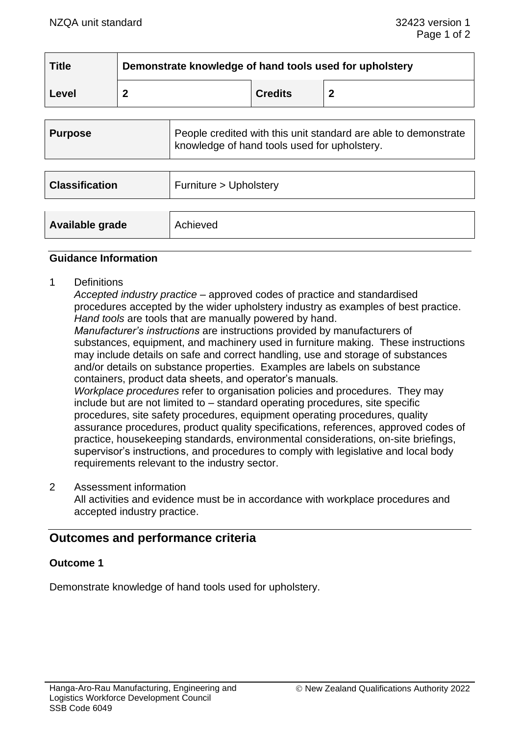| <b>Title</b> | Demonstrate knowledge of hand tools used for upholstery |                |   |
|--------------|---------------------------------------------------------|----------------|---|
| Level        |                                                         | <b>Credits</b> | ◠ |

| <b>Purpose</b>        | People credited with this unit standard are able to demonstrate<br>knowledge of hand tools used for upholstery. |  |
|-----------------------|-----------------------------------------------------------------------------------------------------------------|--|
|                       |                                                                                                                 |  |
| <b>Classification</b> | Furniture > Upholstery                                                                                          |  |
|                       |                                                                                                                 |  |
| Available grade       | Achieved                                                                                                        |  |

#### **Guidance Information**

1 Definitions

*Accepted industry practice* – approved codes of practice and standardised procedures accepted by the wider upholstery industry as examples of best practice. *Hand tools* are tools that are manually powered by hand. *Manufacturer's instructions* are instructions provided by manufacturers of substances, equipment, and machinery used in furniture making. These instructions may include details on safe and correct handling, use and storage of substances and/or details on substance properties. Examples are labels on substance containers, product data sheets, and operator's manuals*. Workplace procedures* refer to organisation policies and procedures. They may include but are not limited to – standard operating procedures, site specific procedures, site safety procedures, equipment operating procedures, quality assurance procedures, product quality specifications, references, approved codes of practice, housekeeping standards, environmental considerations, on-site briefings, supervisor's instructions, and procedures to comply with legislative and local body requirements relevant to the industry sector.

2 Assessment information All activities and evidence must be in accordance with workplace procedures and accepted industry practice.

# **Outcomes and performance criteria**

### **Outcome 1**

Demonstrate knowledge of hand tools used for upholstery.